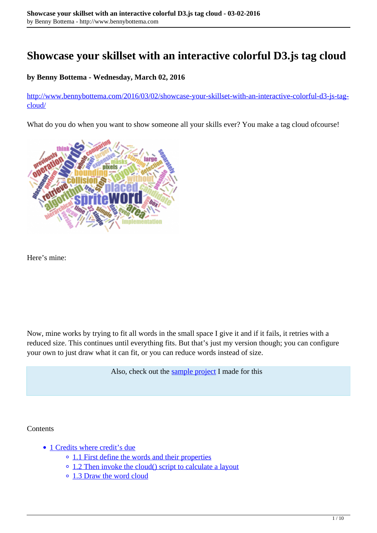# **Showcase your skillset with an interactive colorful D3.js tag cloud**

### **by Benny Bottema - Wednesday, March 02, 2016**

[http://www.bennybottema.com/2016/03/02/showcase-your-skillset-with-an-interactive-colorful-d3-js-tag](http://www.bennybottema.com/2016/03/02/showcase-your-skillset-with-an-interactive-colorful-d3-js-tag-cloud/)[cloud/](http://www.bennybottema.com/2016/03/02/showcase-your-skillset-with-an-interactive-colorful-d3-js-tag-cloud/)

What do you do when you want to show someone all your skills ever? You make a tag cloud ofcourse!



Here's mine:

Now, mine works by trying to fit all words in the small space I give it and if it fails, it retries with a reduced size. This continues until everything fits. But that's just my version though; you can configure your own to just draw what it can fit, or you can reduce words instead of size.

Also, check out the [sample project](https://github.com/bbottema/d3-tag-skills-cloud) I made for this

#### **Contents**

- 1 Credits where credit's due
	- <sup>o</sup> 1.1 First define the words and their properties
	- 1.2 Then invoke the cloud() script to calculate a layout
	- 1.3 Draw the word cloud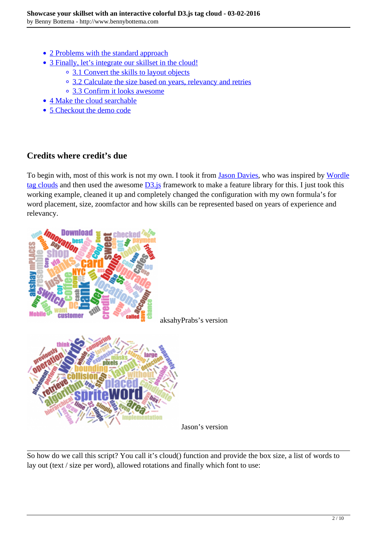- 2 Problems with the standard approach
- 3 Finally, let's integrate our skillset in the cloud!
	- <sup>o</sup> 3.1 Convert the skills to layout objects
	- 3.2 Calculate the size based on years, relevancy and retries
	- 3.3 Confirm it looks awesome
- 4 Make the cloud searchable
- 5 Checkout the demo code

## **Credits where credit's due**

To begin with, most of this work is not my own. I took it from [Jason Davies,](https://github.com/jasondavies/d3-cloud) who was inspired by [Wordle](http://www.wordle.net/) [tag clouds](http://www.wordle.net/) and then used the awesome  $\overline{D3}$  is framework to make a feature library for this. I just took this working example, cleaned it up and completely changed the configuration with my own formula's for word placement, size, zoomfactor and how skills can be represented based on years of experience and relevancy.



So how do we call this script? You call it's cloud() function and provide the box size, a list of words to lay out (text / size per word), allowed rotations and finally which font to use: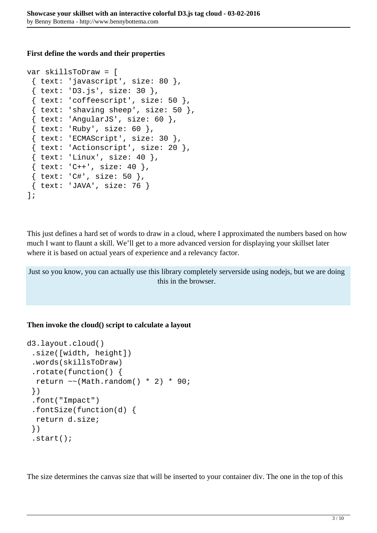#### **First define the words and their properties**

```
var skillsToDraw = [
 \{ text: 'javascript', size: 80 \},\{ text: 'D3.js', size: 30 \},\\{ text: 'cofeescript', size: 50 \},\{ text: 'shaving sheep', size: 50 \},\{ text: 'Angular JS', size: 60 \},\{ text: 'Ruby', size: 60 \}, { text: 'ECMAScript', size: 30 },
  { text: 'Actionscript', size: 20 },
 \{ text: 'Linux', size: 40 \},\{ text: 'C++', size: 40 \},\{ text: 'C#', size: 50 \}, { text: 'JAVA', size: 76 }
];
```
This just defines a hard set of words to draw in a cloud, where I approximated the numbers based on how much I want to flaunt a skill. We'll get to a more advanced version for displaying your skillset later where it is based on actual years of experience and a relevancy factor.

Just so you know, you can actually use this library completely serverside using nodejs, but we are doing this in the browser.

### **Then invoke the cloud() script to calculate a layout**

```
d3.layout.cloud()
  .size([width, height])
  .words(skillsToDraw)
  .rotate(function() {
  return \sim (Math.random() * 2) * 90;
  })
  .font("Impact")
  .fontSize(function(d) {
   return d.size;
  })
  .start();
```
The size determines the canvas size that will be inserted to your container div. The one in the top of this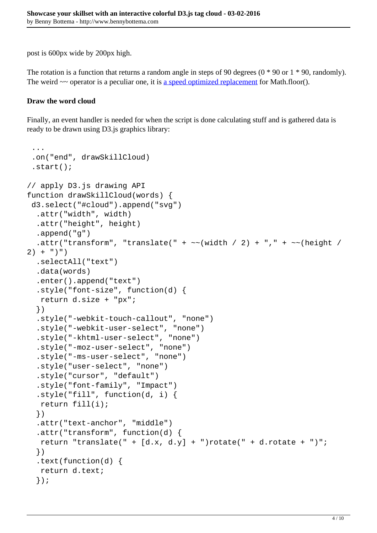post is 600px wide by 200px high.

The rotation is a function that returns a random angle in steps of 90 degrees  $(0 * 90$  or  $1 * 90$ , randomly). The weird  $\sim$  operator is a peculiar one, it is [a speed optimized replacement](http://rocha.la/JavaScript-bitwise-operators-in-practice) for Math.floor().

#### **Draw the word cloud**

...

Finally, an event handler is needed for when the script is done calculating stuff and is gathered data is ready to be drawn using D3.js graphics library:

```
 .on("end", drawSkillCloud)
  .start();
// apply D3.js drawing API
function drawSkillCloud(words) {
  d3.select("#cloud").append("svg")
   .attr("width", width)
   .attr("height", height)
   .append("g")
  .attr("transform", "translate(" + \sim(width / 2) + "," + \sim(height /
2) + ")")
   .selectAll("text")
   .data(words)
   .enter().append("text")
   .style("font-size", function(d) {
   return d.size + "px";
   })
   .style("-webkit-touch-callout", "none")
   .style("-webkit-user-select", "none")
   .style("-khtml-user-select", "none")
   .style("-moz-user-select", "none")
   .style("-ms-user-select", "none")
   .style("user-select", "none")
   .style("cursor", "default")
   .style("font-family", "Impact")
   .style("fill", function(d, i) {
    return fill(i);
   })
   .attr("text-anchor", "middle")
   .attr("transform", function(d) {
   return "translate(" + [d.x, d.y] + ")rotate(" + d.rotate + ")";
   })
   .text(function(d) {
    return d.text;
   });
```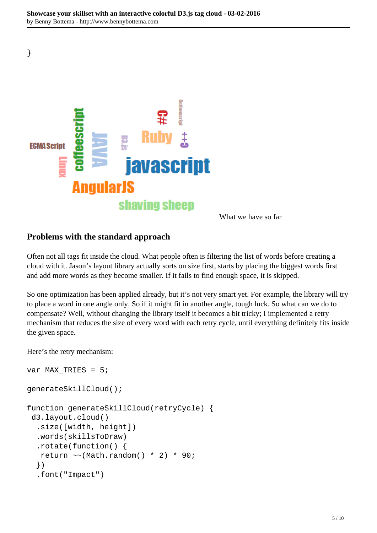

What we have so far

## **Problems with the standard approach**

Often not all tags fit inside the cloud. What people often is filtering the list of words before creating a cloud with it. Jason's layout library actually sorts on size first, starts by placing the biggest words first and add more words as they become smaller. If it fails to find enough space, it is skipped.

So one optimization has been applied already, but it's not very smart yet. For example, the library will try to place a word in one angle only. So if it might fit in another angle, tough luck. So what can we do to compensate? Well, without changing the library itself it becomes a bit tricky; I implemented a retry mechanism that reduces the size of every word with each retry cycle, until everything definitely fits inside the given space.

Here's the retry mechanism:

}

```
var MAX_TRIES = 5;
generateSkillCloud();
function generateSkillCloud(retryCycle) {
  d3.layout.cloud()
   .size([width, height])
   .words(skillsToDraw)
   .rotate(function() {
   return \sim (Math.random() * 2) * 90;
   })
   .font("Impact")
```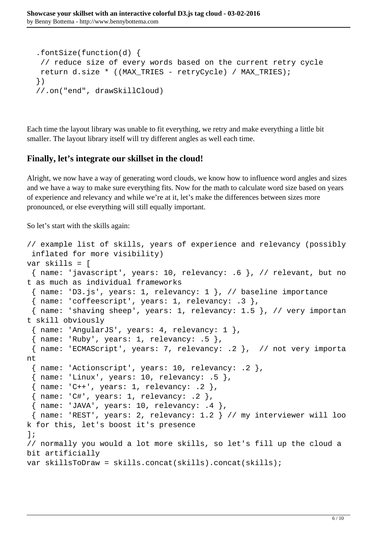```
 .fontSize(function(d) {
 // reduce size of every words based on the current retry cycle
 return d.size * ((MAX_TRIES - retryCycle) / MAX_TRIES);
 })
 //.on("end", drawSkillCloud)
```
Each time the layout library was unable to fit everything, we retry and make everything a little bit smaller. The layout library itself will try different angles as well each time.

### **Finally, let's integrate our skillset in the cloud!**

Alright, we now have a way of generating word clouds, we know how to influence word angles and sizes and we have a way to make sure everything fits. Now for the math to calculate word size based on years of experience and relevancy and while we're at it, let's make the differences between sizes more pronounced, or else everything will still equally important.

So let's start with the skills again:

```
// example list of skills, years of experience and relevancy (possibly
  inflated for more visibility)
var skills = [
  { name: 'javascript', years: 10, relevancy: .6 }, // relevant, but no
t as much as individual frameworks
  { name: 'D3.js', years: 1, relevancy: 1 }, // baseline importance
 { name: 'coffeescript', years: 1, relevancy: .3 },
  { name: 'shaving sheep', years: 1, relevancy: 1.5 }, // very importan
t skill obviously
  { name: 'AngularJS', years: 4, relevancy: 1 },
 \{ name: 'Ruby', years: 1, relevant, 5 \}, { name: 'ECMAScript', years: 7, relevancy: .2 }, // not very importa
nt
  { name: 'Actionscript', years: 10, relevancy: .2 },
 \{ name: 'Linux', years: 10, relevant: .5 \}. { name: 'C++', years: 1, relevancy: .2 },
 \{ name: 'C#', years: 1, relevant; ? \},
 { name: 'JAVA', years: 10, relevancy: .4 },
  { name: 'REST', years: 2, relevancy: 1.2 } // my interviewer will loo
k for this, let's boost it's presence
];
// normally you would a lot more skills, so let's fill up the cloud a 
bit artificially
var skillsToDraw = skills.concat(skills).concat(skills);
```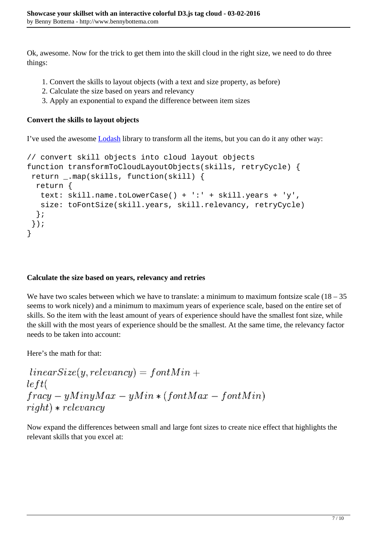Ok, awesome. Now for the trick to get them into the skill cloud in the right size, we need to do three things:

- 1. Convert the skills to layout objects (with a text and size property, as before)
- 2. Calculate the size based on years and relevancy
- 3. Apply an exponential to expand the difference between item sizes

#### **Convert the skills to layout objects**

I've used the awesome [Lodash](https://lodash.com/) library to transform all the items, but you can do it any other way:

```
// convert skill objects into cloud layout objects
function transformToCloudLayoutObjects(skills, retryCycle) {
  return _.map(skills, function(skill) {
   return {
    text: skill.name.toLowerCase() + ':' + skill.years + 'y',
    size: toFontSize(skill.years, skill.relevancy, retryCycle)
   };
  });
}
```
### **Calculate the size based on years, relevancy and retries**

We have two scales between which we have to translate: a minimum to maximum fontsize scale  $(18 - 35)$ seems to work nicely) and a minimum to maximum years of experience scale, based on the entire set of skills. So the item with the least amount of years of experience should have the smallest font size, while the skill with the most years of experience should be the smallest. At the same time, the relevancy factor needs to be taken into account:

Here's the math for that:

```
linearSize(y, relevancey) = fontMin +left(fracy - yMinyMax - yMin * (fontMax - fontMin)right) * relevant
```
Now expand the differences between small and large font sizes to create nice effect that highlights the relevant skills that you excel at: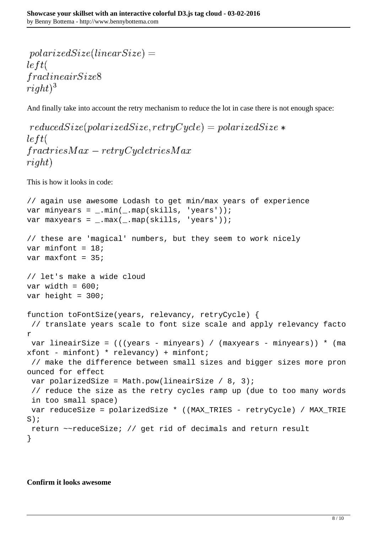```
polarized Size(linearSize) =left(fractine air Size8right)^3
```
And finally take into account the retry mechanism to reduce the lot in case there is not enough space:

```
reducedSize(polarized Size, retryCycle) = polarized Size *left(fractriesMax-retrvCucleitiesMaxright)
```
This is how it looks in code:

```
// again use awesome Lodash to get min/max years of experience
var minyears = _.min(_.map(skills, 'years'));
var maxyears = .max( .map(skills, 'years'));
// these are 'magical' numbers, but they seem to work nicely
var minfont = 18;
var maxfont = 35i// let's make a wide cloud
var width = 600ivar height = 300;
function toFontSize(years, relevancy, retryCycle) {
  // translate years scale to font size scale and apply relevancy facto
r
  var lineairSize = (((years - minyears) / (maxyears - minyears)) * (ma
xfont - minfont) * relevant xfont;
  // make the difference between small sizes and bigger sizes more pron
ounced for effect
 var polarizedSize = Math.pow(lineairSize / 8, 3);
  // reduce the size as the retry cycles ramp up (due to too many words
  in too small space)
 var reduceSize = polarizedSize * ((MAX_TRIES - retryCycle) / MAX_TRIE
S);
  return ~~reduceSize; // get rid of decimals and return result
}
```
#### **Confirm it looks awesome**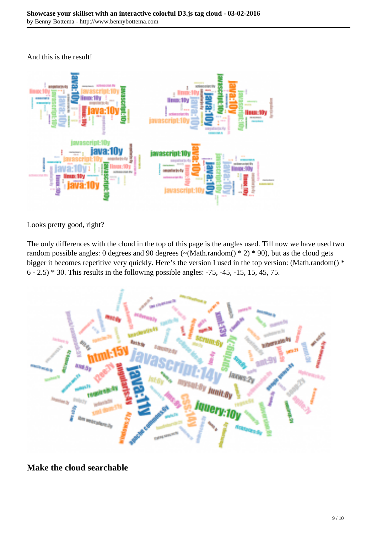And this is the result!



Looks pretty good, right?

The only differences with the cloud in the top of this page is the angles used. Till now we have used two random possible angles: 0 degrees and 90 degrees ( $\sim$ (Math.random()  $*$  2)  $*$  90), but as the cloud gets bigger it becomes repetitive very quickly. Here's the version I used in the top version: (Math.random() \* 6 - 2.5) \* 30. This results in the following possible angles: -75, -45, -15, 15, 45, 75.



**Make the cloud searchable**